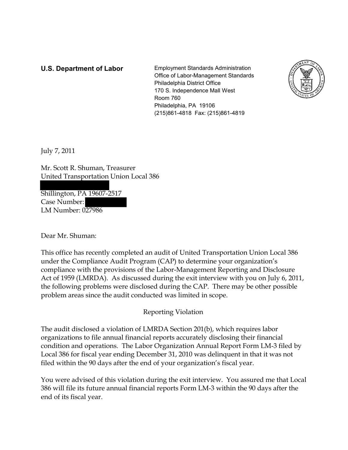**U.S. Department of Labor** Employment Standards Administration Office of Labor-Management Standards Philadelphia District Office 170 S. Independence Mall West Room 760 Philadelphia, PA 19106 (215)861-4818 Fax: (215)861-4819



July 7, 2011

Mr. Scott R. Shuman, Treasurer United Transportation Union Local 386

Shillington, PA 19607-2517 Case Number: LM Number: 027986

Dear Mr. Shuman:

This office has recently completed an audit of United Transportation Union Local 386 under the Compliance Audit Program (CAP) to determine your organization's compliance with the provisions of the Labor-Management Reporting and Disclosure Act of 1959 (LMRDA). As discussed during the exit interview with you on July 6, 2011, the following problems were disclosed during the CAP. There may be other possible problem areas since the audit conducted was limited in scope.

Reporting Violation

The audit disclosed a violation of LMRDA Section 201(b), which requires labor organizations to file annual financial reports accurately disclosing their financial condition and operations. The Labor Organization Annual Report Form LM-3 filed by Local 386 for fiscal year ending December 31, 2010 was delinquent in that it was not filed within the 90 days after the end of your organization's fiscal year.

You were advised of this violation during the exit interview. You assured me that Local 386 will file its future annual financial reports Form LM-3 within the 90 days after the end of its fiscal year.